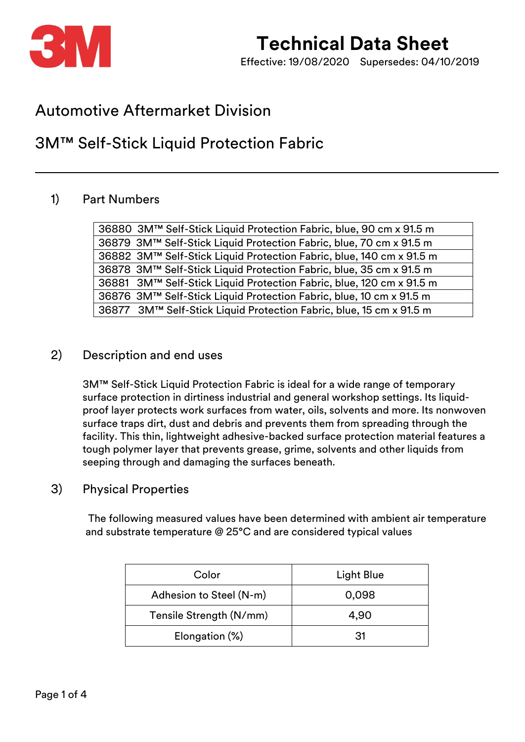

Effective: 19/08/2020 Supersedes: 04/10/2019

### Automotive Aftermarket Division

### 3M™ Self-Stick Liquid Protection Fabric

#### 1) Part Numbers

36880 3M™ Self-Stick Liquid Protection Fabric, blue, 90 cm x 91.5 m 36879 3M™ Self-Stick Liquid Protection Fabric, blue, 70 cm x 91.5 m 36882 3M™ Self-Stick Liquid Protection Fabric, blue, 140 cm x 91.5 m 36878 3M™ Self-Stick Liquid Protection Fabric, blue, 35 cm x 91.5 m 36881 3M™ Self-Stick Liquid Protection Fabric, blue, 120 cm x 91.5 m 36876 3M™ Self-Stick Liquid Protection Fabric, blue, 10 cm x 91.5 m 36877 3M™ Self-Stick Liquid Protection Fabric, blue, 15 cm x 91.5 m

#### 2) Description and end uses

3M™ Self-Stick Liquid Protection Fabric is ideal for a wide range of temporary surface protection in dirtiness industrial and general workshop settings. Its liquidproof layer protects work surfaces from water, oils, solvents and more. Its nonwoven surface traps dirt, dust and debris and prevents them from spreading through the facility. This thin, lightweight adhesive-backed surface protection material features a tough polymer layer that prevents grease, grime, solvents and other liquids from seeping through and damaging the surfaces beneath.

#### 3) Physical Properties

 The following measured values have been determined with ambient air temperature and substrate temperature @ 25°C and are considered typical values

| Color                   | Light Blue |  |
|-------------------------|------------|--|
| Adhesion to Steel (N-m) | 0,098      |  |
| Tensile Strength (N/mm) | 4,90       |  |
| Elongation (%)          | .31        |  |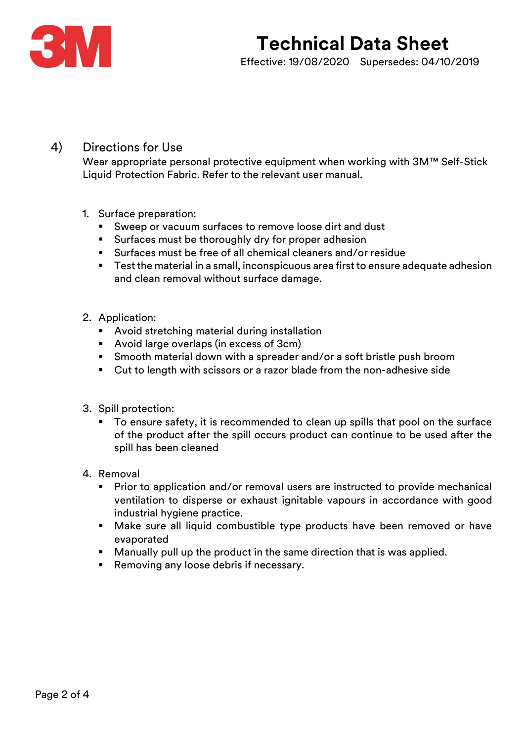

Effective: 19/08/2020 Supersedes: 04/10/2019

#### 4) Directions for Use

Wear appropriate personal protective equipment when working with 3M™ Self-Stick Liquid Protection Fabric. Refer to the relevant user manual.

- 1. Surface preparation:
	- Sweep or vacuum surfaces to remove loose dirt and dust
	- Surfaces must be thoroughly dry for proper adhesion
	- Surfaces must be free of all chemical cleaners and/or residue
	- Test the material in a small, inconspicuous area first to ensure adequate adhesion and clean removal without surface damage.
- 2. Application:
	- Avoid stretching material during installation
	- Avoid large overlaps (in excess of 3cm)
	- Smooth material down with a spreader and/or a soft bristle push broom
	- Cut to length with scissors or a razor blade from the non-adhesive side
- 3. Spill protection:
	- To ensure safety, it is recommended to clean up spills that pool on the surface of the product after the spill occurs product can continue to be used after the spill has been cleaned
- 4. Removal
	- Prior to application and/or removal users are instructed to provide mechanical ventilation to disperse or exhaust ignitable vapours in accordance with good industrial hygiene practice.
	- Make sure all liquid combustible type products have been removed or have evaporated
	- Manually pull up the product in the same direction that is was applied.
	- Removing any loose debris if necessary.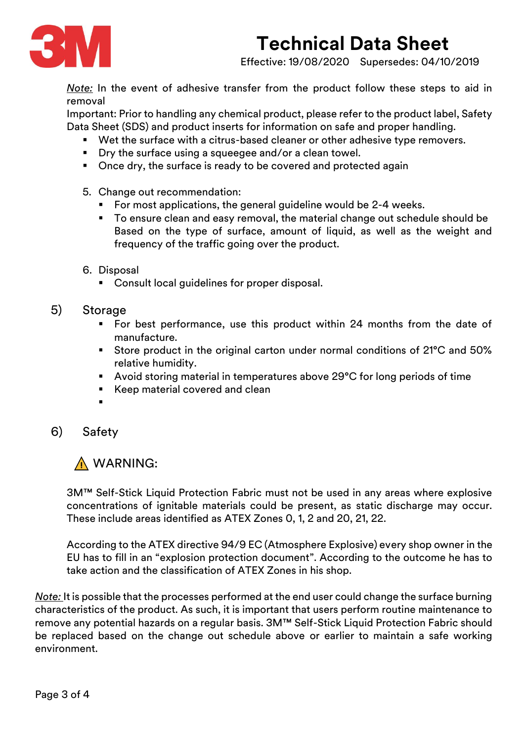

Effective: 19/08/2020 Supersedes: 04/10/2019

*Note:* In the event of adhesive transfer from the product follow these steps to aid in removal

Important: Prior to handling any chemical product, please refer to the product label, Safety Data Sheet (SDS) and product inserts for information on safe and proper handling.

- Wet the surface with a citrus-based cleaner or other adhesive type removers.
- Dry the surface using a squeegee and/or a clean towel.
- Once dry, the surface is ready to be covered and protected again
- 5. Change out recommendation:
	- For most applications, the general guideline would be 2-4 weeks.
	- To ensure clean and easy removal, the material change out schedule should be Based on the type of surface, amount of liquid, as well as the weight and frequency of the traffic going over the product.
- 6. Disposal
	- Consult local guidelines for proper disposal.
- 5) Storage
	- For best performance, use this product within 24 months from the date of manufacture.
	- Store product in the original carton under normal conditions of 21°C and 50% relative humidity.
	- Avoid storing material in temperatures above 29°C for long periods of time
	- Keep material covered and clean
	- ▪
- 6) Safety

### A WARNING:

3M™ Self-Stick Liquid Protection Fabric must not be used in any areas where explosive concentrations of ignitable materials could be present, as static discharge may occur. These include areas identified as ATEX Zones 0, 1, 2 and 20, 21, 22.

According to the ATEX directive 94/9 EC (Atmosphere Explosive) every shop owner in the EU has to fill in an "[explosion protection document](file:///C:/Users/GE402783/AppData/Local/Microsoft/Windows/INetCache/Content.Outlook/78V70JJN/Explosionsschutzdokument_Staeube.docx)". According to the outcome he has to take action and the classification of ATEX Zones in his shop.

*Note:* It is possible that the processes performed at the end user could change the surface burning characteristics of the product. As such, it is important that users perform routine maintenance to remove any potential hazards on a regular basis. 3M™ Self-Stick Liquid Protection Fabric should be replaced based on the change out schedule above or earlier to maintain a safe working environment.